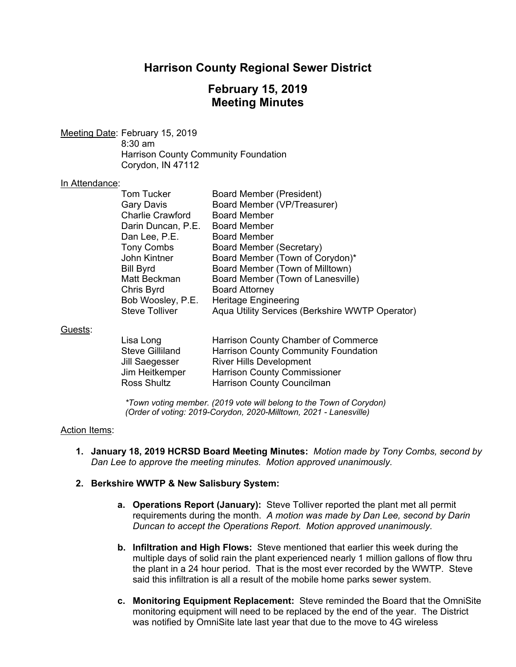# **Harrison County Regional Sewer District**

# **February 15, 2019 Meeting Minutes**

Meeting Date: February 15, 2019 8:30 am Harrison County Community Foundation Corydon, IN 47112

#### In Attendance:

| <b>Tom Tucker</b>       | Board Member (President)                        |
|-------------------------|-------------------------------------------------|
| <b>Gary Davis</b>       | Board Member (VP/Treasurer)                     |
| <b>Charlie Crawford</b> | <b>Board Member</b>                             |
| Darin Duncan, P.E.      | <b>Board Member</b>                             |
| Dan Lee, P.E.           | <b>Board Member</b>                             |
| <b>Tony Combs</b>       | <b>Board Member (Secretary)</b>                 |
| John Kintner            | Board Member (Town of Corydon)*                 |
| <b>Bill Byrd</b>        | Board Member (Town of Milltown)                 |
| Matt Beckman            | Board Member (Town of Lanesville)               |
| Chris Byrd              | <b>Board Attorney</b>                           |
| Bob Woosley, P.E.       | <b>Heritage Engineering</b>                     |
| <b>Steve Tolliver</b>   | Aqua Utility Services (Berkshire WWTP Operator) |

#### Guests:

| Lisa Long              | Harrison County Chamber of Commerce         |
|------------------------|---------------------------------------------|
| <b>Steve Gilliland</b> | <b>Harrison County Community Foundation</b> |
| Jill Saegesser         | <b>River Hills Development</b>              |
| Jim Heitkemper         | <b>Harrison County Commissioner</b>         |
| Ross Shultz            | Harrison County Councilman                  |

*\*Town voting member. (2019 vote will belong to the Town of Corydon) (Order of voting: 2019-Corydon, 2020-Milltown, 2021 - Lanesville)* 

#### Action Items:

**1. January 18, 2019 HCRSD Board Meeting Minutes:** *Motion made by Tony Combs, second by Dan Lee to approve the meeting minutes. Motion approved unanimously.*

#### **2. Berkshire WWTP & New Salisbury System:**

- **a. Operations Report (January):** Steve Tolliver reported the plant met all permit requirements during the month. *A motion was made by Dan Lee, second by Darin Duncan to accept the Operations Report. Motion approved unanimously.*
- **b. Infiltration and High Flows:** Steve mentioned that earlier this week during the multiple days of solid rain the plant experienced nearly 1 million gallons of flow thru the plant in a 24 hour period. That is the most ever recorded by the WWTP. Steve said this infiltration is all a result of the mobile home parks sewer system.
- **c. Monitoring Equipment Replacement:** Steve reminded the Board that the OmniSite monitoring equipment will need to be replaced by the end of the year. The District was notified by OmniSite late last year that due to the move to 4G wireless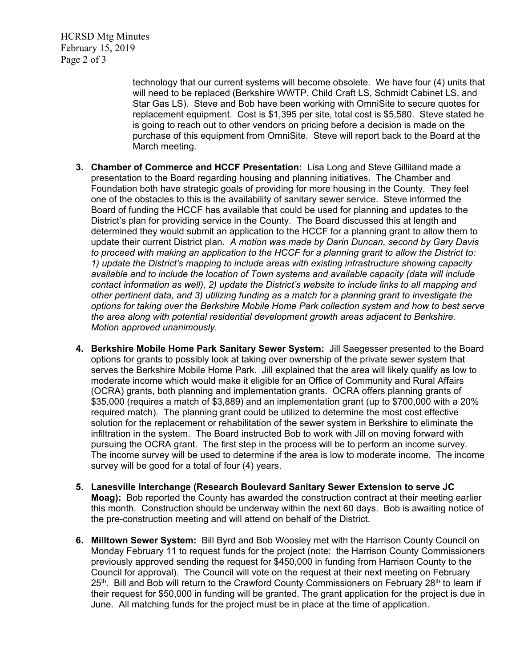HCRSD Mtg Minutes February 15, 2019 Page 2 of 3

> technology that our current systems will become obsolete. We have four (4) units that will need to be replaced (Berkshire WWTP, Child Craft LS, Schmidt Cabinet LS, and Star Gas LS). Steve and Bob have been working with OmniSite to secure quotes for replacement equipment. Cost is \$1,395 per site, total cost is \$5,580. Steve stated he is going to reach out to other vendors on pricing before a decision is made on the purchase of this equipment from OmniSite. Steve will report back to the Board at the March meeting.

- **3. Chamber of Commerce and HCCF Presentation:** Lisa Long and Steve Gilliland made a presentation to the Board regarding housing and planning initiatives. The Chamber and Foundation both have strategic goals of providing for more housing in the County. They feel one of the obstacles to this is the availability of sanitary sewer service. Steve informed the Board of funding the HCCF has available that could be used for planning and updates to the District's plan for providing service in the County. The Board discussed this at length and determined they would submit an application to the HCCF for a planning grant to allow them to update their current District plan. *A motion was made by Darin Duncan, second by Gary Davis to proceed with making an application to the HCCF for a planning grant to allow the District to: 1) update the District's mapping to include areas with existing infrastructure showing capacity available and to include the location of Town systems and available capacity (data will include contact information as well), 2) update the District's website to include links to all mapping and other pertinent data, and 3) utilizing funding as a match for a planning grant to investigate the options for taking over the Berkshire Mobile Home Park collection system and how to best serve the area along with potential residential development growth areas adjacent to Berkshire. Motion approved unanimously.*
- **4. Berkshire Mobile Home Park Sanitary Sewer System:** Jill Saegesser presented to the Board options for grants to possibly look at taking over ownership of the private sewer system that serves the Berkshire Mobile Home Park. Jill explained that the area will likely qualify as low to moderate income which would make it eligible for an Office of Community and Rural Affairs (OCRA) grants, both planning and implementation grants. OCRA offers planning grants of \$35,000 (requires a match of \$3,889) and an implementation grant (up to \$700,000 with a 20% required match). The planning grant could be utilized to determine the most cost effective solution for the replacement or rehabilitation of the sewer system in Berkshire to eliminate the infiltration in the system. The Board instructed Bob to work with Jill on moving forward with pursuing the OCRA grant. The first step in the process will be to perform an income survey. The income survey will be used to determine if the area is low to moderate income. The income survey will be good for a total of four (4) years.
- **5. Lanesville Interchange (Research Boulevard Sanitary Sewer Extension to serve JC Moag):** Bob reported the County has awarded the construction contract at their meeting earlier this month. Construction should be underway within the next 60 days. Bob is awaiting notice of the pre-construction meeting and will attend on behalf of the District.
- **6. Milltown Sewer System:** Bill Byrd and Bob Woosley met with the Harrison County Council on Monday February 11 to request funds for the project (note: the Harrison County Commissioners previously approved sending the request for \$450,000 in funding from Harrison County to the Council for approval). The Council will vote on the request at their next meeting on February 25<sup>th</sup>. Bill and Bob will return to the Crawford County Commissioners on February 28<sup>th</sup> to learn if their request for \$50,000 in funding will be granted. The grant application for the project is due in June. All matching funds for the project must be in place at the time of application.